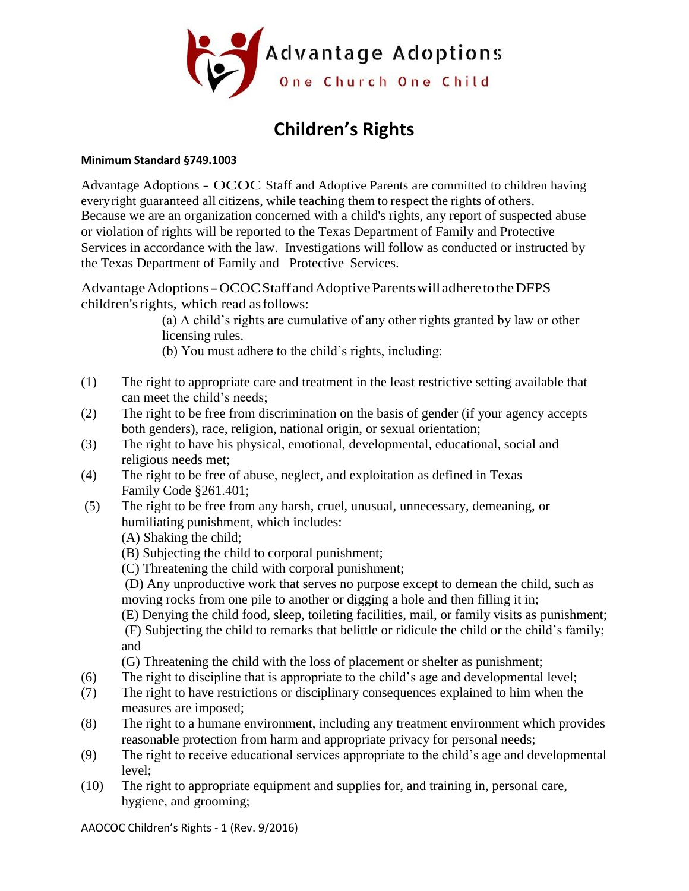

## **Children's Rights**

## **Minimum Standard §749.1003**

Advantage Adoptions - OCOC Staff and Adoptive Parents are committed to children having everyright guaranteed all citizens, while teaching them to respect the rights of others. Because we are an organization concerned with a child's rights, any report of suspected abuse or violation of rights will be reported to the Texas Department of Family and Protective Services in accordance with the law. Investigations will follow as conducted or instructed by the Texas Department of Family and Protective Services.

Advantage Adoptions - OCOC Staff and Adoptive Parents will adhere to the DFPS children'srights, which read asfollows:

> (a) A child's rights are cumulative of any other rights granted by law or other licensing rules.

(b) You must adhere to the child's rights, including:

- (1) The right to appropriate care and treatment in the least restrictive setting available that can meet the child's needs;
- (2) The right to be free from discrimination on the basis of gender (if your agency accepts both genders), race, religion, national origin, or sexual orientation;
- (3) The right to have his physical, emotional, developmental, educational, social and religious needs met;
- (4) The right to be free of abuse, neglect, and exploitation as defined in Texas Family Code §261.401;
- (5) The right to be free from any harsh, cruel, unusual, unnecessary, demeaning, or humiliating punishment, which includes:

(A) Shaking the child;

- (B) Subjecting the child to corporal punishment;
- (C) Threatening the child with corporal punishment;

(D) Any unproductive work that serves no purpose except to demean the child, such as moving rocks from one pile to another or digging a hole and then filling it in;

(E) Denying the child food, sleep, toileting facilities, mail, or family visits as punishment; (F) Subjecting the child to remarks that belittle or ridicule the child or the child's family; and

(G) Threatening the child with the loss of placement or shelter as punishment;

- (6) The right to discipline that is appropriate to the child's age and developmental level;
- (7) The right to have restrictions or disciplinary consequences explained to him when the measures are imposed;
- (8) The right to a humane environment, including any treatment environment which provides reasonable protection from harm and appropriate privacy for personal needs;
- (9) The right to receive educational services appropriate to the child's age and developmental level;
- (10) The right to appropriate equipment and supplies for, and training in, personal care, hygiene, and grooming;

AAOCOC Children's Rights - 1 (Rev. 9/2016)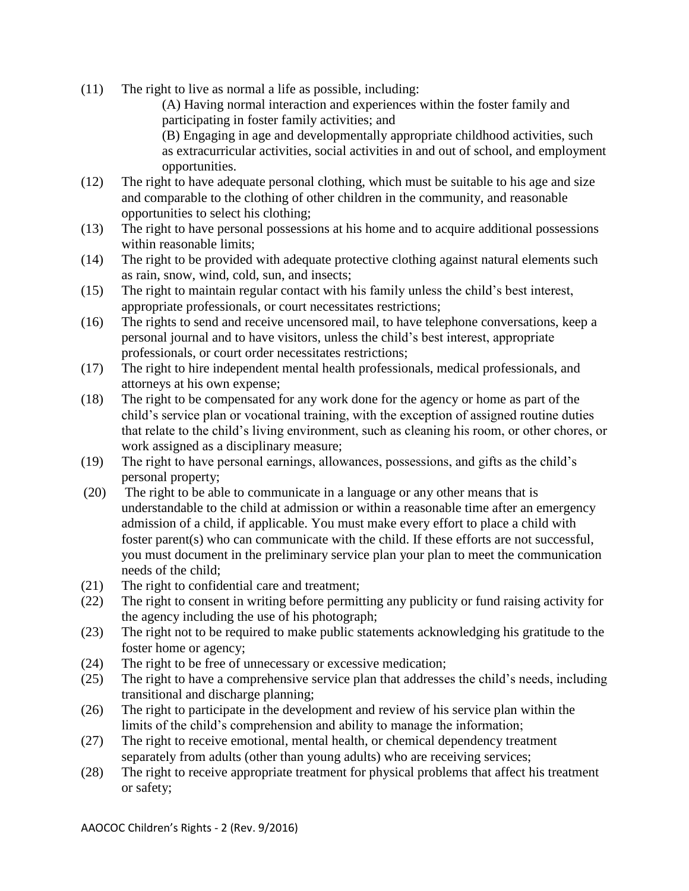(11) The right to live as normal a life as possible, including:

(A) Having normal interaction and experiences within the foster family and participating in foster family activities; and

(B) Engaging in age and developmentally appropriate childhood activities, such as extracurricular activities, social activities in and out of school, and employment opportunities.

- (12) The right to have adequate personal clothing, which must be suitable to his age and size and comparable to the clothing of other children in the community, and reasonable opportunities to select his clothing;
- (13) The right to have personal possessions at his home and to acquire additional possessions within reasonable limits;
- (14) The right to be provided with adequate protective clothing against natural elements such as rain, snow, wind, cold, sun, and insects;
- (15) The right to maintain regular contact with his family unless the child's best interest, appropriate professionals, or court necessitates restrictions;
- (16) The rights to send and receive uncensored mail, to have telephone conversations, keep a personal journal and to have visitors, unless the child's best interest, appropriate professionals, or court order necessitates restrictions;
- (17) The right to hire independent mental health professionals, medical professionals, and attorneys at his own expense;
- (18) The right to be compensated for any work done for the agency or home as part of the child's service plan or vocational training, with the exception of assigned routine duties that relate to the child's living environment, such as cleaning his room, or other chores, or work assigned as a disciplinary measure;
- (19) The right to have personal earnings, allowances, possessions, and gifts as the child's personal property;
- (20) The right to be able to communicate in a language or any other means that is understandable to the child at admission or within a reasonable time after an emergency admission of a child, if applicable. You must make every effort to place a child with foster parent(s) who can communicate with the child. If these efforts are not successful, you must document in the preliminary service plan your plan to meet the communication needs of the child;
- (21) The right to confidential care and treatment;
- (22) The right to consent in writing before permitting any publicity or fund raising activity for the agency including the use of his photograph;
- (23) The right not to be required to make public statements acknowledging his gratitude to the foster home or agency;
- (24) The right to be free of unnecessary or excessive medication;
- (25) The right to have a comprehensive service plan that addresses the child's needs, including transitional and discharge planning;
- (26) The right to participate in the development and review of his service plan within the limits of the child's comprehension and ability to manage the information;
- (27) The right to receive emotional, mental health, or chemical dependency treatment separately from adults (other than young adults) who are receiving services;
- (28) The right to receive appropriate treatment for physical problems that affect his treatment or safety;